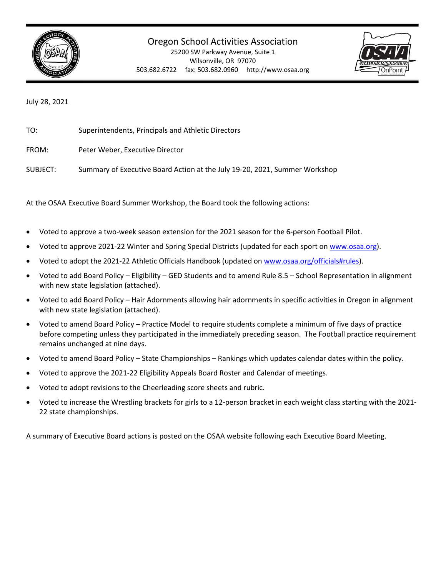

25200 SW Parkway Avenue, Suite 1 Wilsonville, OR 97070 503.682.6722 fax: 503.682.0960 http://www.osaa.org



July 28, 2021

TO: Superintendents, Principals and Athletic Directors

FROM: Peter Weber, Executive Director

SUBJECT: Summary of Executive Board Action at the July 19-20, 2021, Summer Workshop

At the OSAA Executive Board Summer Workshop, the Board took the following actions:

- Voted to approve a two-week season extension for the 2021 season for the 6-person Football Pilot.
- Voted to approve 2021-22 Winter and Spring Special Districts (updated for each sport o[n www.osaa.org\)](http://www.osaa.org/).
- Voted to adopt the 2021-22 Athletic Officials Handbook (updated o[n www.osaa.org/officials#rules\)](http://www.osaa.org/officials#rules).
- Voted to add Board Policy Eligibility GED Students and to amend Rule 8.5 School Representation in alignment with new state legislation (attached).
- Voted to add Board Policy Hair Adornments allowing hair adornments in specific activities in Oregon in alignment with new state legislation (attached).
- Voted to amend Board Policy Practice Model to require students complete a minimum of five days of practice before competing unless they participated in the immediately preceding season. The Football practice requirement remains unchanged at nine days.
- Voted to amend Board Policy State Championships Rankings which updates calendar dates within the policy.
- Voted to approve the 2021-22 Eligibility Appeals Board Roster and Calendar of meetings.
- Voted to adopt revisions to the Cheerleading score sheets and rubric.
- Voted to increase the Wrestling brackets for girls to a 12-person bracket in each weight class starting with the 2021- 22 state championships.

A summary of Executive Board actions is posted on the OSAA website following each Executive Board Meeting.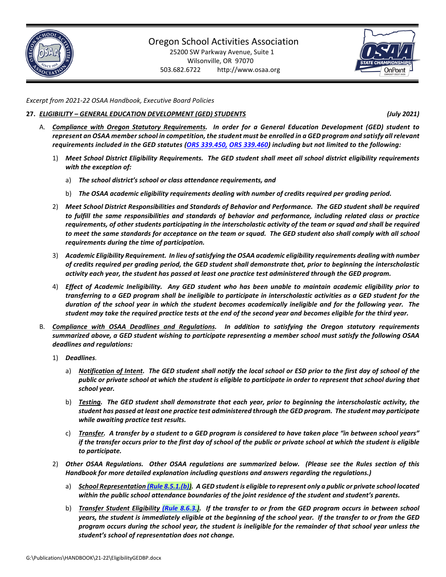

25200 SW Parkway Avenue, Suite 1 Wilsonville, OR 97070 503.682.6722 http://www.osaa.org



*Excerpt from 2021-22 OSAA Handbook, Executive Board Policies*

#### **27.** *ELIGIBILITY – GENERAL EDUCATION DEVELOPMENT (GED) STUDENTS**(July 2021)*

- A. *Compliance with Oregon Statutory Requirements. In order for a General Education Development (GED) student to represent an OSAA member school in competition, the student must be enrolled in a GED program and satisfy all relevant requirements included in the GED statutes [\(ORS 339.450,](https://www.oregonlegislature.gov/bills_laws/Pages/Oregon-Laws.aspx) [ORS 339.460\)](https://www.oregonlegislature.gov/bills_laws/Pages/Oregon-Laws.aspx) including but not limited to the following:*
	- 1) *Meet School District Eligibility Requirements. The GED student shall meet all school district eligibility requirements with the exception of:*
		- a) *The school district's school or class attendance requirements, and*
		- b) *The OSAA academic eligibility requirements dealing with number of credits required per grading period.*
	- 2) *Meet School District Responsibilities and Standards of Behavior and Performance. The GED student shall be required to fulfill the same responsibilities and standards of behavior and performance, including related class or practice requirements, of other students participating in the interscholastic activity of the team or squad and shall be required*  to meet the same standards for acceptance on the team or squad. The GED student also shall comply with all school *requirements during the time of participation.*
	- 3) *Academic Eligibility Requirement. In lieu of satisfying the OSAA academic eligibility requirements dealing with number of credits required per grading period, the GED student shall demonstrate that, prior to beginning the interscholastic activity each year, the student has passed at least one practice test administered through the GED program.*
	- 4) *Effect of Academic Ineligibility. Any GED student who has been unable to maintain academic eligibility prior to transferring to a GED program shall be ineligible to participate in interscholastic activities as a GED student for the duration of the school year in which the student becomes academically ineligible and for the following year. The student may take the required practice tests at the end of the second year and becomes eligible for the third year.*
- B. *Compliance with OSAA Deadlines and Regulations. In addition to satisfying the Oregon statutory requirements summarized above, a GED student wishing to participate representing a member school must satisfy the following OSAA deadlines and regulations:*
	- 1) *Deadlines.*
		- a) *Notification of Intent. The GED student shall notify the local school or ESD prior to the first day of school of the public or private school at which the student is eligible to participate in order to represent that school during that school year.*
		- b) *Testing. The GED student shall demonstrate that each year, prior to beginning the interscholastic activity, the student has passed at least one practice test administered through the GED program. The student may participate while awaiting practice test results.*
		- c) *Transfer. A transfer by a student to a GED program is considered to have taken place "in between school years" if the transfer occurs prior to the first day of school of the public or private school at which the student is eligible to participate.*
	- 2) *Other OSAA Regulations. Other OSAA regulations are summarized below. (Please see the Rules section of this Handbook for more detailed explanation including questions and answers regarding the regulations.)*
		- a) *School Representatio[n \(Rule 8.5.1.\(b\)\)](https://www.osaa.org/governance/handbooks/osaa#_Toc456100281). A GED student is eligible to represent only a public or private school located within the public school attendance boundaries of the joint residence of the student and student's parents.*
		- b) *Transfer Student Eligibility [\(Rule 8.6.3.\)](https://www.osaa.org/governance/handbooks/osaa#_Toc456100288). If the transfer to or from the GED program occurs in between school years, the student is immediately eligible at the beginning of the school year. If the transfer to or from the GED program occurs during the school year, the student is ineligible for the remainder of that school year unless the student's school of representation does not change.*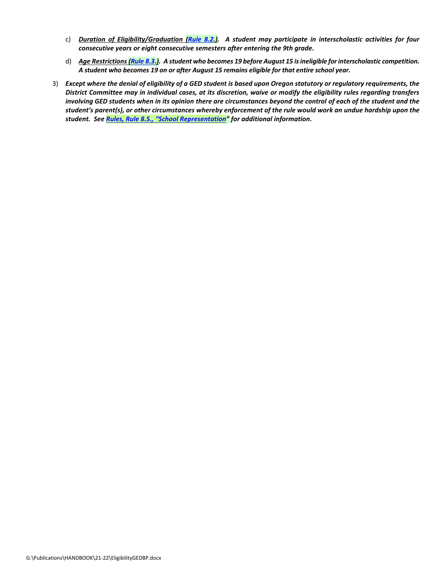- c) *Duration of Eligibility/Graduation [\(Rule 8.2.](https://www.osaa.org/governance/handbooks/osaa#_Toc456100274)). A student may participate in interscholastic activities for four consecutive years or eight consecutive semesters after entering the 9th grade.*
- d) *Age Restrictions [\(Rule 8.3.\)](https://www.osaa.org/governance/handbooks/osaa#_Toc456100277). A student who becomes 19 before August 15 is ineligible for interscholastic competition. A student who becomes 19 on or after August 15 remains eligible for that entire school year.*
- 3) *Except where the denial of eligibility of a GED student is based upon Oregon statutory or regulatory requirements, the District Committee may in individual cases, at its discretion, waive or modify the eligibility rules regarding transfers*  involving GED students when in its opinion there are circumstances beyond the control of each of the student and the *student's parent(s), or other circumstances whereby enforcement of the rule would work an undue hardship upon the student. Se[e Rules, Rule 8.5., "School Representation"](https://www.osaa.org/governance/handbooks/osaa#_Toc456100281) for additional information.*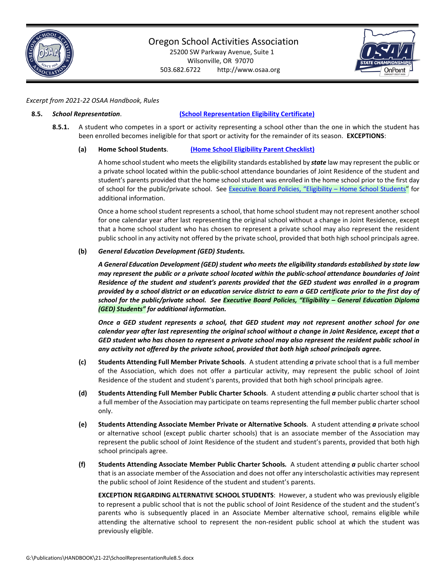

25200 SW Parkway Avenue, Suite 1 Wilsonville, OR 97070 503.682.6722 http://www.osaa.org



### *Excerpt from 2021-22 OSAA Handbook, Rules*

#### **8.5.** *School Representation*. **[\(School Representation Eligibility Certificate\)](http://www.osaa.org/governance/forms)**

**8.5.1.** A student who competes in a sport or activity representing a school other than the one in which the student has been enrolled becomes ineligible for that sport or activity for the remainder of its season. **EXCEPTIONS**:

#### **(a) Home School Students**. **[\(Home School Eligibility Parent Checklist\)](http://www.osaa.org/governance/forms)**

A home school student who meets the eligibility standards established by *state* law may represent the public or a private school located within the public-school attendance boundaries of Joint Residence of the student and student's parents provided that the home school student was enrolled in the home school prior to the first day of school for the public/private school. See Executive Board Policies, "Eligibility - Home School Students" for additional information.

Once a home school student represents a school, that home school student may not represent another school for one calendar year after last representing the original school without a change in Joint Residence, except that a home school student who has chosen to represent a private school may also represent the resident public school in any activity not offered by the private school, provided that both high school principals agree.

#### **(b)** *General Education Development (GED) Students.*

*A General Education Development (GED) student who meets the eligibility standards established by state law may represent the public or a private school located within the public-school attendance boundaries of Joint Residence of the student and student's parents provided that the GED student was enrolled in a program provided by a school district or an education service district to earn a GED certificate prior to the first day of school for the public/private school. See Executive Board Policies, "Eligibility – General Education Diploma (GED) Students" for additional information.* 

*Once a GED student represents a school, that GED student may not represent another school for one calendar year after last representing the original school without a change in Joint Residence, except that a GED student who has chosen to represent a private school may also represent the resident public school in any activity not offered by the private school, provided that both high school principals agree.*

- **(c) Students Attending Full Member Private Schools**. A student attending *a* private school that is a full member of the Association, which does not offer a particular activity, may represent the public school of Joint Residence of the student and student's parents, provided that both high school principals agree.
- **(d) Students Attending Full Member Public Charter Schools**. A student attending *a* public charter school that is a full member of the Association may participate on teams representing the full member public charter school only.
- **(e) Students Attending Associate Member Private or Alternative Schools**. A student attending *a* private school or alternative school (except public charter schools) that is an associate member of the Association may represent the public school of Joint Residence of the student and student's parents, provided that both high school principals agree.
- **(f) Students Attending Associate Member Public Charter Schools***.* A student attending *a* public charter school that is an associate member of the Association and does not offer any interscholastic activities may represent the public school of Joint Residence of the student and student's parents.

**EXCEPTION REGARDING ALTERNATIVE SCHOOL STUDENTS**: However, a student who was previously eligible to represent a public school that is not the public school of Joint Residence of the student and the student's parents who is subsequently placed in an Associate Member alternative school, remains eligible while attending the alternative school to represent the non-resident public school at which the student was previously eligible.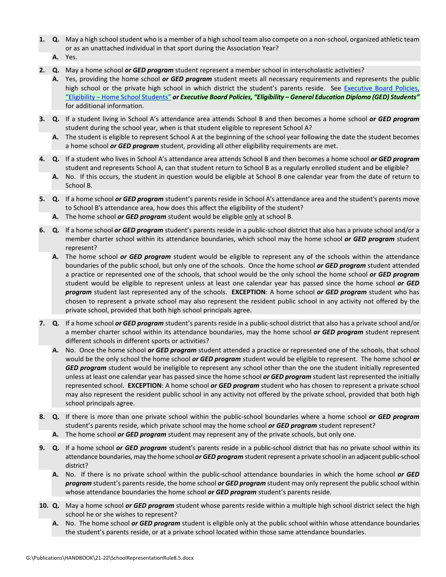- **1. Q.** May a high school student who is a member of a high school team also compete on a non-school, organized athletic team or as an unattached individual in that sport during the Association Year?
	- **A.** Yes.
- **2. Q.** May a home school *or GED program* student represent a member school in interscholastic activities?
	- **A.** Yes, providing the home school *or GED program* student meets all necessary requirements and represents the public high school or the private high school in which district the student's parents reside. See [Executive Board Policies,](https://www.osaa.org/governance/handbooks/osaa#_Toc456100356)  "Eligibility – [Home School Students"](https://www.osaa.org/governance/handbooks/osaa#_Toc456100356) *or Executive Board Policies, "Eligibility – General Education Diploma (GED) Students"* for additional information.
- **3. Q.** If a student living in School A's attendance area attends School B and then becomes a home school *or GED program*  student during the school year, when is that student eligible to represent School A?
	- **A.** The student is eligible to represent School A at the beginning of the school year following the date the student becomes a home school *or GED program* student, providing all other eligibility requirements are met.
- **4. Q.** If a student who lives in School A's attendance area attends School B and then becomes a home school *or GED program*  student and represents School A, can that student return to School B as a regularly enrolled student and be eligible?
	- **A.** No. If this occurs, the student in question would be eligible at School B one calendar year from the date of return to School B.
- **5. Q.** If a home school *or GED program* student's parents reside in School A's attendance area and the student's parents move to School B's attendance area, how does this affect the eligibility of the student?
	- **A.** The home school *or GED program* student would be eligible only at school B.
- **6. Q.** If a home school *or GED program* student's parents reside in a public-school district that also has a private school and/or a member charter school within its attendance boundaries, which school may the home school *or GED program* student represent?
	- **A.** The home school *or GED program* student would be eligible to represent any of the schools within the attendance boundaries of the public school, but only one of the schools. Once the home school *or GED program* student attended a practice or represented one of the schools, that school would be the only school the home school *or GED program*  student would be eligible to represent unless at least one calendar year has passed since the home school *or GED program* student last represented any of the schools. **EXCEPTION**: A home school *or GED program* student who has chosen to represent a private school may also represent the resident public school in any activity not offered by the private school, provided that both high school principals agree.
- **7. Q.** If a home school *or GED program* student's parents reside in a public-school district that also has a private school and/or a member charter school within its attendance boundaries, may the home school *or GED program* student represent different schools in different sports or activities?
	- **A.** No. Once the home school *or GED program* student attended a practice or represented one of the schools, that school would be the only school the home school *or GED program* student would be eligible to represent. The home school *or GED program* student would be ineligible to represent any school other than the one the student initially represented unless at least one calendar year has passed since the home school *or GED program* student last represented the initially represented school. **EXCEPTION**: A home school *or GED program* student who has chosen to represent a private school may also represent the resident public school in any activity not offered by the private school, provided that both high school principals agree.
- **8. Q.** If there is more than one private school within the public-school boundaries where a home school *or GED program*  student's parents reside, which private school may the home school *or GED program* student represent?
	- **A.** The home school *or GED program* student may represent any of the private schools, but only one.
- **9. Q.** If a home school *or GED program* student's parents reside in a public-school district that has no private school within its attendance boundaries, may the home school *or GED program* student represent a private school in an adjacent public-school district?
	- **A.** No. If there is no private school within the public-school attendance boundaries in which the home school *or GED program* student's parents reside, the home school *or GED program* student may only represent the public school within whose attendance boundaries the home school *or GED program* student's parents reside.
- **10. Q.** May a home school *or GED program* student whose parents reside within a multiple high school district select the high school he or she wishes to represent?
	- **A.** No. The home school *or GED program* student is eligible only at the public school within whose attendance boundaries the student's parents reside, or at a private school located within those same attendance boundaries.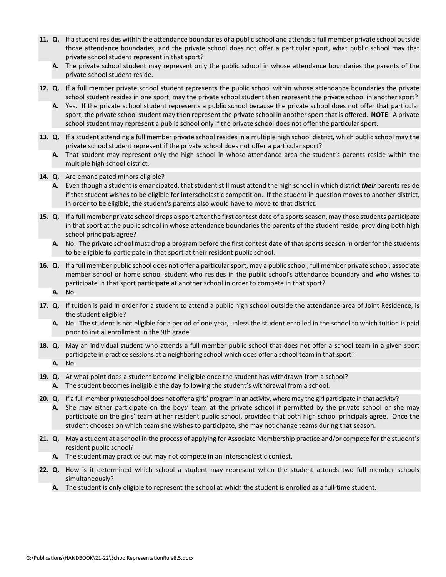- **11. Q.** If a student resides within the attendance boundaries of a public school and attends a full member private school outside those attendance boundaries, and the private school does not offer a particular sport, what public school may that private school student represent in that sport?
	- **A.** The private school student may represent only the public school in whose attendance boundaries the parents of the private school student reside.
- **12. Q.** If a full member private school student represents the public school within whose attendance boundaries the private school student resides in one sport, may the private school student then represent the private school in another sport?
	- **A.** Yes. If the private school student represents a public school because the private school does not offer that particular sport, the private school student may then represent the private school in another sport that is offered. **NOTE**: A private school student may represent a public school only if the private school does not offer the particular sport.
- **13. Q.** If a student attending a full member private school resides in a multiple high school district, which public school may the private school student represent if the private school does not offer a particular sport?
	- **A.** That student may represent only the high school in whose attendance area the student's parents reside within the multiple high school district.
- **14. Q.** Are emancipated minors eligible?
	- **A.** Even though a student is emancipated, that student still must attend the high school in which district *their* parents reside if that student wishes to be eligible for interscholastic competition. If the student in question moves to another district, in order to be eligible, the student's parents also would have to move to that district.
- **15. Q.** If a full member private school drops a sport after the first contest date of a sports season, may those students participate in that sport at the public school in whose attendance boundaries the parents of the student reside, providing both high school principals agree?
	- **A.** No. The private school must drop a program before the first contest date of that sports season in order for the students to be eligible to participate in that sport at their resident public school.
- **16. Q.** If a full member public school does not offer a particular sport, may a public school, full member private school, associate member school or home school student who resides in the public school's attendance boundary and who wishes to participate in that sport participate at another school in order to compete in that sport?
	- **A.** No.
- **17. Q.** If tuition is paid in order for a student to attend a public high school outside the attendance area of Joint Residence, is the student eligible?
	- **A.** No. The student is not eligible for a period of one year, unless the student enrolled in the school to which tuition is paid prior to initial enrollment in the 9th grade.
- **18. Q.** May an individual student who attends a full member public school that does not offer a school team in a given sport participate in practice sessions at a neighboring school which does offer a school team in that sport? **A.** No.
- **19. Q.** At what point does a student become ineligible once the student has withdrawn from a school?
	- **A.** The student becomes ineligible the day following the student's withdrawal from a school.
- **20. Q.** If a full member private school does not offer a girls' program in an activity, where may the girl participate in that activity?
	- **A.** She may either participate on the boys' team at the private school if permitted by the private school or she may participate on the girls' team at her resident public school, provided that both high school principals agree. Once the student chooses on which team she wishes to participate, she may not change teams during that season.
- **21. Q.** May a student at a school in the process of applying for Associate Membership practice and/or compete for the student's resident public school?
	- **A.** The student may practice but may not compete in an interscholastic contest.
- **22. Q.** How is it determined which school a student may represent when the student attends two full member schools simultaneously?
	- **A.** The student is only eligible to represent the school at which the student is enrolled as a full-time student.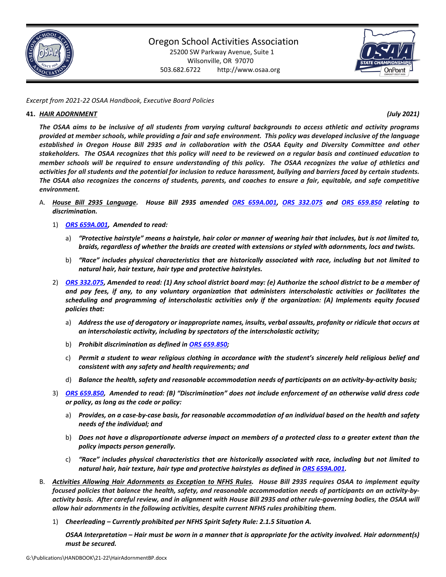

25200 SW Parkway Avenue, Suite 1 Wilsonville, OR 97070 503.682.6722 http://www.osaa.org



*Excerpt from 2021-22 OSAA Handbook, Executive Board Policies*

#### **41.** *HAIR ADORNMENT (July 2021)*

*The OSAA aims to be inclusive of all students from varying cultural backgrounds to access athletic and activity programs provided at member schools, while providing a fair and safe environment. This policy was developed inclusive of the language established in Oregon House Bill 2935 and in collaboration with the OSAA Equity and Diversity Committee and other stakeholders. The OSAA recognizes that this policy will need to be reviewed on a regular basis and continued education to member schools will be required to ensure understanding of this policy. The OSAA recognizes the value of athletics and activities for all students and the potential for inclusion to reduce harassment, bullying and barriers faced by certain students. The OSAA also recognizes the concerns of students, parents, and coaches to ensure a fair, equitable, and safe competitive environment.*

- A. *House Bill 2935 Language. House Bill 2935 amended [ORS 659A.001,](https://www.oregonlegislature.gov/bills_laws/Pages/Oregon-Laws.aspx) [ORS 332.075](https://www.oregonlegislature.gov/bills_laws/Pages/Oregon-Laws.aspx) and [ORS 659.850](https://www.oregonlegislature.gov/bills_laws/Pages/Oregon-Laws.aspx) relating to discrimination.* 
	- 1) *[ORS 659A.001,](https://www.oregonlegislature.gov/bills_laws/Pages/Oregon-Laws.aspx) Amended to read:*
		- a) *"Protective hairstyle" means a hairstyle, hair color or manner of wearing hair that includes, but is not limited to, braids, regardless of whether the braids are created with extensions or styled with adornments, locs and twists.*
		- b) *"Race" includes physical characteristics that are historically associated with race, including but not limited to natural hair, hair texture, hair type and protective hairstyles.*
	- 2) *[ORS 332.075,](https://www.oregonlegislature.gov/bills_laws/Pages/Oregon-Laws.aspx) Amended to read: (1) Any school district board may: (e) Authorize the school district to be a member of and pay fees, if any, to any voluntary organization that administers interscholastic activities or facilitates the scheduling and programming of interscholastic activities only if the organization: (A) Implements equity focused policies that:*
		- a) *Address the use of derogatory or inappropriate names, insults, verbal assaults, profanity or ridicule that occurs at an interscholastic activity, including by spectators of the interscholastic activity;*
		- b) *Prohibit discrimination as defined in [ORS 659.850;](https://www.oregonlegislature.gov/bills_laws/Pages/Oregon-Laws.aspx)*
		- c) *Permit a student to wear religious clothing in accordance with the student's sincerely held religious belief and consistent with any safety and health requirements; and*
		- d) *Balance the health, safety and reasonable accommodation needs of participants on an activity-by-activity basis;*
	- 3) *[ORS 659.850,](https://www.oregonlegislature.gov/bills_laws/Pages/Oregon-Laws.aspx) Amended to read: (B) "Discrimination" does not include enforcement of an otherwise valid dress code or policy, as long as the code or policy:*
		- a) *Provides, on a case-by-case basis, for reasonable accommodation of an individual based on the health and safety needs of the individual; and*
		- b) *Does not have a disproportionate adverse impact on members of a protected class to a greater extent than the policy impacts person generally.*
		- c) *"Race" includes physical characteristics that are historically associated with race, including but not limited to natural hair, hair texture, hair type and protective hairstyles as defined in [ORS 659A.001.](https://www.oregonlegislature.gov/bills_laws/Pages/Oregon-Laws.aspx)*
- B. *Activities Allowing Hair Adornments as Exception to NFHS Rules. House Bill 2935 requires OSAA to implement equity focused policies that balance the health, safety, and reasonable accommodation needs of participants on an activity-byactivity basis. After careful review, and in alignment with House Bill 2935 and other rule-governing bodies, the OSAA will allow hair adornments in the following activities, despite current NFHS rules prohibiting them.*
	- 1) *Cheerleading – Currently prohibited per NFHS Spirit Safety Rule: 2.1.5 Situation A.*

*OSAA Interpretation – Hair must be worn in a manner that is appropriate for the activity involved. Hair adornment(s) must be secured.*